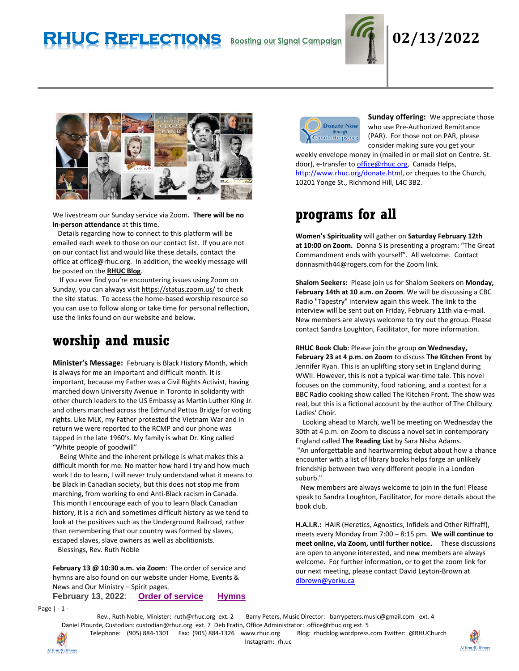# **RHUC Reflections Boosting our Signal Campaign 02/13/2022**





We livestream our Sunday service via Zoom**. There will be no in-person attendance** at this time.

 Details regarding how to connect to this platform will be emailed each week to those on our contact list. If you are not on our contact list and would like these details, contact the office at office@rhuc.org. In addition, the weekly message will be posted on the **[RHUC Blog](https://rhucblog.wordpress.com/)**.

 If you ever find you're encountering issues using Zoom on Sunday, you can always visi[t https://status.zoom.us/](https://status.zoom.us/) to check the site status. To access the home-based worship resource so you can use to follow along or take time for personal reflection, use the links found on our website and below.

## **worship and music**

**Minister's Message:** February is Black History Month, which is always for me an important and difficult month. It is important, because my Father was a Civil Rights Activist, having marched down University Avenue in Toronto in solidarity with other church leaders to the US Embassy as Martin Luther King Jr. and others marched across the Edmund Pettus Bridge for voting rights. Like MLK, my Father protested the Vietnam War and in return we were reported to the RCMP and our phone was tapped in the late 1960's. My family is what Dr. King called "White people of goodwill"

 Being White and the inherent privilege is what makes this a difficult month for me. No matter how hard I try and how much work I do to learn, I will never truly understand what it means to be Black in Canadian society, but this does not stop me from marching, from working to end Anti-Black racism in Canada. This month I encourage each of you to learn Black Canadian history, it is a rich and sometimes difficult history as we tend to look at the positives such as the Underground Railroad, rather than remembering that our country was formed by slaves, escaped slaves, slave owners as well as abolitionists. Blessings, Rev. Ruth Noble

**February 13 @ 10:30 a.m. via Zoom**: The order of service and hymns are also found on our website under Home, Events & News and Our Ministry – Spirit pages.

**February 13, 2022**: **Order of [service](http://rhuc.org/February%2013%202022.pdf) [Hymns](http://rhuc.org/Hymns%20for%202022%2002%2013%20(1).pdf)**



**Sunday offering:** We appreciate those who use Pre-Authorized Remittance (PAR). For those not on PAR, please consider making sure you get your

weekly envelope money in (mailed in or mail slot on Centre. St. door), e-transfer t[o office@rhuc.org,](mailto:office@rhuc.org) Canada Helps, [http://www.rhuc.org/donate.html,](http://www.rhuc.org/donate.html) or cheques to the Church, 10201 Yonge St., Richmond Hill, L4C 3B2.

## **programs for all**

**Women's Spirituality** will gather on **Saturday February 12th at 10:00 on Zoom.** Donna S is presenting a program: "The Great Commandment ends with yourself". All welcome. Contact donnasmith44@rogers.com for the Zoom link.

**Shalom Seekers:** Please join us for Shalom Seekers on **Monday, February 14th at 10 a.m. on Zoom**. We will be discussing a CBC Radio "Tapestry" interview again this week. The link to the interview will be sent out on Friday, February 11th via e-mail. New members are always welcome to try out the group. Please contact Sandra Loughton, Facilitator, for more information.

**RHUC Book Club**: Please join the group **on Wednesday, February 23 at 4 p.m. on Zoom** to discuss **The Kitchen Front** by Jennifer Ryan. This is an uplifting story set in England during WWII. However, this is not a typical war-time tale. This novel focuses on the community, food rationing, and a contest for a BBC Radio cooking show called The Kitchen Front. The show was real, but this is a fictional account by the author of The Chilbury Ladies' Choir.

 Looking ahead to March, we'll be meeting on Wednesday the 30th at 4 p.m. on Zoom to discuss a novel set in contemporary England called **The Reading List** by Sara Nisha Adams. "An unforgettable and heartwarming debut about how a chance encounter with a list of library books helps forge an unlikely friendship between two very different people in a London suburb."

 New members are always welcome to join in the fun! Please speak to Sandra Loughton, Facilitator, for more details about the book club.

**H.A.I.R.:** HAIR (Heretics, Agnostics, Infidels and Other Riffraff), meets every Monday from 7:00 – 8:15 pm. **We will continue to meet online, via Zoom, until further notice.** These discussions are open to anyone interested, and new members are always welcome. For further information, or to get the zoom link for our next meeting, please contact David Leyton-Brown at [dlbrown@yorku.ca](mailto:dlbrown@yorku.ca)

Page | - 1 -

Rev., Ruth Noble, Minister: [ruth@rhuc.org](mailto:ruth@rhuc.org) ext. 2 Barry Peters, Music Director: barrypeters.music@gmail.com ext. 4 Daniel Plourde, Custodian: [custodian@rhuc.org](mailto:custodian@rhuc.org) ext. 7 Deb Fratin, Office Administrator: [office@rhuc.org](mailto:office@rhuc.org) ext. 5



Telephone: (905) 884-1301 Fax: (905) 884-1326 [www.rhuc.org](http://www.rhuc.org/) Blog: rhucblog.wordpress.com Twitter: @RHUChurch

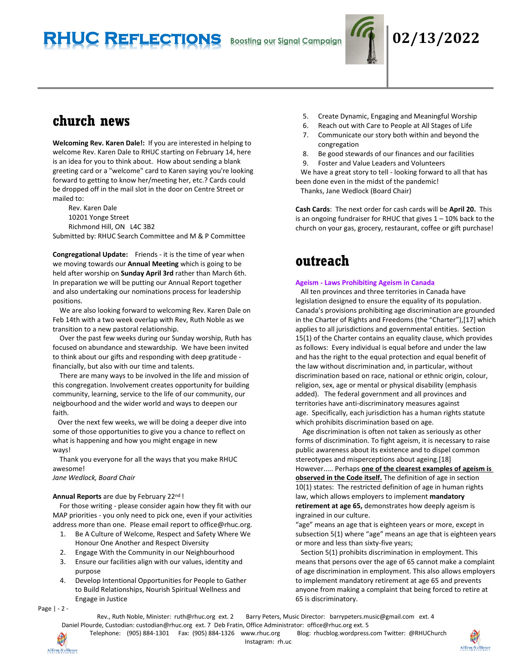

## **church news**

**Welcoming Rev. Karen Dale!:** If you are interested in helping to welcome Rev. Karen Dale to RHUC starting on February 14, here is an idea for you to think about. How about sending a blank greeting card or a "welcome" card to Karen saying you're looking forward to getting to know her/meeting her, etc.? Cards could be dropped off in the mail slot in the door on Centre Street or mailed to:

Rev. Karen Dale 10201 Yonge Street Richmond Hill, ON L4C 3B2 Submitted by: RHUC Search Committee and M & P Committee

**Congregational Update:** Friends - it is the time of year when we moving towards our **Annual Meeting** which is going to be held after worship on **Sunday April 3rd** rather than March 6th. In preparation we will be putting our Annual Report together and also undertaking our nominations process for leadership positions.

 We are also looking forward to welcoming Rev. Karen Dale on Feb 14th with a two week overlap with Rev, Ruth Noble as we transition to a new pastoral relationship.

 Over the past few weeks during our Sunday worship, Ruth has focused on abundance and stewardship. We have been invited to think about our gifts and responding with deep gratitude financially, but also with our time and talents.

 There are many ways to be involved in the life and mission of this congregation. Involvement creates opportunity for building community, learning, service to the life of our community, our neigbourhood and the wider world and ways to deepen our faith.

 Over the next few weeks, we will be doing a deeper dive into some of those opportunities to give you a chance to reflect on what is happening and how you might engage in new ways!

 Thank you everyone for all the ways that you make RHUC awesome!

*Jane Wedlock, Board Chair*

### **Annual Reports** are due by February 22nd !

 For those writing - please consider again how they fit with our MAP priorities - you only need to pick one, even if your activities address more than one. Please email report to office@rhuc.org.

- 1. Be A Culture of Welcome, Respect and Safety Where We Honour One Another and Respect Diversity
- 2. Engage With the Community in our Neighbourhood
- 3. Ensure our facilities align with our values, identity and purpose
- 4. Develop Intentional Opportunities for People to Gather to Build Relationships, Nourish Spiritual Wellness and Engage in Justice

Page | - 2 -

- 5. Create Dynamic, Engaging and Meaningful Worship
- 6. Reach out with Care to People at All Stages of Life
- 7. Communicate our story both within and beyond the congregation
- 8. Be good stewards of our finances and our facilities
- 9. Foster and Value Leaders and Volunteers

 We have a great story to tell - looking forward to all that has been done even in the midst of the pandemic! Thanks, Jane Wedlock (Board Chair)

**Cash Cards**: The next order for cash cards will be **April 20.** This is an ongoing fundraiser for RHUC that gives  $1 - 10\%$  back to the church on your gas, grocery, restaurant, coffee or gift purchase!

## **outreach**

### **Ageism - Laws Prohibiting Ageism in Canada**

 All ten provinces and three territories in Canada have legislation designed to ensure the equality of its population. Canada's provisions prohibiting age discrimination are grounded in the Charter of Rights and Freedoms (the "Charter"),[17] which applies to all jurisdictions and governmental entities. Section 15(1) of the Charter contains an equality clause, which provides as follows: Every individual is equal before and under the law and has the right to the equal protection and equal benefit of the law without discrimination and, in particular, without discrimination based on race, national or ethnic origin, colour, religion, sex, age or mental or physical disability (emphasis added). The federal government and all provinces and territories have anti-discriminatory measures against age. Specifically, each jurisdiction has a human rights statute which prohibits discrimination based on age.

 Age discrimination is often not taken as seriously as other forms of discrimination. To fight ageism, it is necessary to raise public awareness about its existence and to dispel common stereotypes and misperceptions about ageing.[18] However..... Perhaps **one of the clearest examples of ageism is observed in the Code itself.** The definition of age in section 10(1) states: The restricted definition of age in human rights law, which allows employers to implement **mandatory retirement at age 65,** demonstrates how deeply ageism is ingrained in our culture.

"age" means an age that is eighteen years or more, except in subsection 5(1) where "age" means an age that is eighteen years or more and less than sixty-five years;

 Section 5(1) prohibits discrimination in employment. This means that persons over the age of 65 cannot make a complaint of age discrimination in employment. This also allows employers to implement mandatory retirement at age 65 and prevents anyone from making a complaint that being forced to retire at 65 is discriminatory.

Rev., Ruth Noble, Minister: [ruth@rhuc.org](mailto:ruth@rhuc.org) ext. 2 Barry Peters, Music Director: barrypeters.music@gmail.com ext. 4 Daniel Plourde, Custodian: [custodian@rhuc.org](mailto:custodian@rhuc.org) ext. 7 Deb Fratin, Office Administrator: [office@rhuc.org](mailto:office@rhuc.org) ext. 5

Affirm/S'affirmer

Telephone: (905) 884-1301 Fax: (905) 884-1326 [www.rhuc.org](http://www.rhuc.org/) Blog: rhucblog.wordpress.com Twitter: @RHUChurch